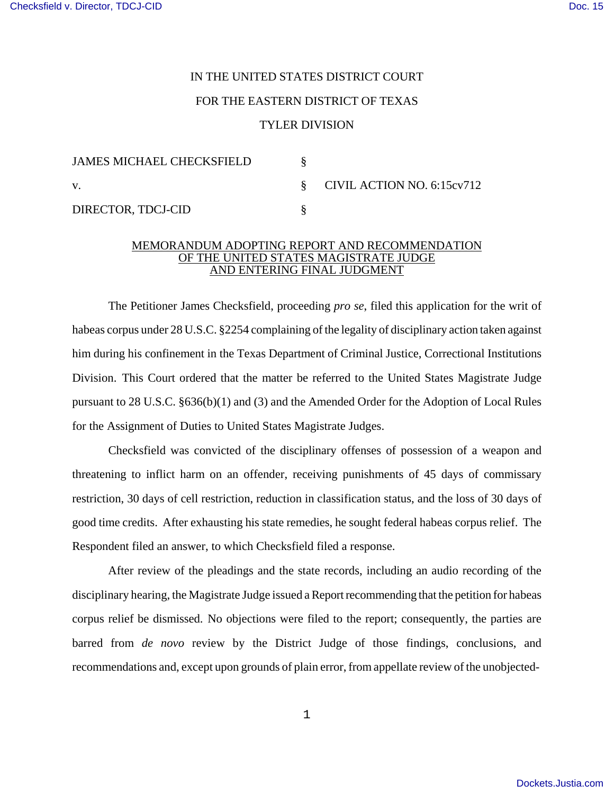## IN THE UNITED STATES DISTRICT COURT FOR THE EASTERN DISTRICT OF TEXAS TYLER DIVISION

| <b>JAMES MICHAEL CHECKSFIELD</b> |                                 |
|----------------------------------|---------------------------------|
| V.                               | $\S$ CIVIL ACTION NO. 6:15cv712 |
| DIRECTOR, TDCJ-CID               |                                 |

## MEMORANDUM ADOPTING REPORT AND RECOMMENDATION OF THE UNITED STATES MAGISTRATE JUDGE AND ENTERING FINAL JUDGMENT

The Petitioner James Checksfield, proceeding *pro se*, filed this application for the writ of habeas corpus under 28 U.S.C. §2254 complaining of the legality of disciplinary action taken against him during his confinement in the Texas Department of Criminal Justice, Correctional Institutions Division. This Court ordered that the matter be referred to the United States Magistrate Judge pursuant to 28 U.S.C. §636(b)(1) and (3) and the Amended Order for the Adoption of Local Rules for the Assignment of Duties to United States Magistrate Judges.

Checksfield was convicted of the disciplinary offenses of possession of a weapon and threatening to inflict harm on an offender, receiving punishments of 45 days of commissary restriction, 30 days of cell restriction, reduction in classification status, and the loss of 30 days of good time credits. After exhausting his state remedies, he sought federal habeas corpus relief. The Respondent filed an answer, to which Checksfield filed a response.

After review of the pleadings and the state records, including an audio recording of the disciplinary hearing, the Magistrate Judge issued a Report recommending that the petition for habeas corpus relief be dismissed. No objections were filed to the report; consequently, the parties are barred from *de novo* review by the District Judge of those findings, conclusions, and recommendations and, except upon grounds of plain error, from appellate review of the unobjected-